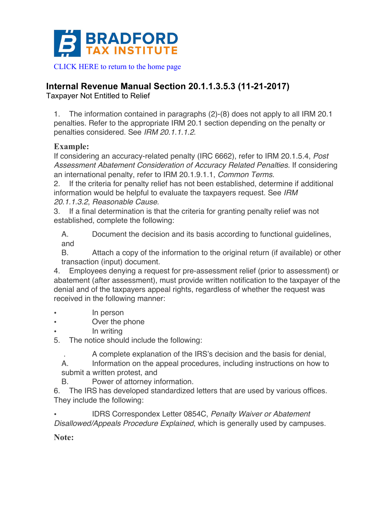

## **Internal Revenue Manual Section 20.1.1.3.5.3 (11-21-2017)**

Taxpayer Not Entitled to Relief

1. The information contained in paragraphs (2)-(8) does not apply to all IRM 20.1 penalties. Refer to the appropriate IRM 20.1 section depending on the penalty or penalties considered. See *IRM 20.1.1.1.2*.

## **Example:**

If considering an accuracy-related penalty (IRC 6662), refer to IRM 20.1.5.4, *Post Assessment Abatement Consideration of Accuracy Related Penalties*. If considering an international penalty, refer to IRM 20.1.9.1.1, *Common Terms*.

2. If the criteria for penalty relief has not been established, determine if additional information would be helpful to evaluate the taxpayers request. See *IRM 20.1.1.3.2*, *Reasonable Cause*.

3. If a final determination is that the criteria for granting penalty relief was not established, complete the following:

A. Document the decision and its basis according to functional guidelines, and

B. Attach a copy of the information to the original return (if available) or other transaction (input) document.

4. Employees denying a request for pre-assessment relief (prior to assessment) or abatement (after assessment), must provide written notification to the taxpayer of the denial and of the taxpayers appeal rights, regardless of whether the request was received in the following manner:

- In person
- Over the phone
- In writing

5. The notice should include the following:

. A complete explanation of the IRS's decision and the basis for denial,

A. Information on the appeal procedures, including instructions on how to submit a written protest, and

B. Power of attorney information.

6. The IRS has developed standardized letters that are used by various offices. They include the following:

• IDRS Correspondex Letter 0854C, *Penalty Waiver or Abatement Disallowed/Appeals Procedure Explained*, which is generally used by campuses.

**Note:**